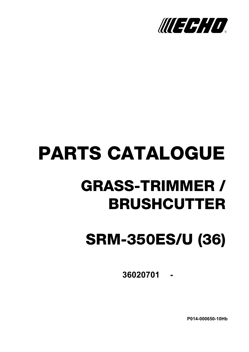

# **PARTS CATALOGUE GRASS-TRIMMER / BRUSHCUTTER**

## **SRM-350ES/U (36)**

36020701 -

P014-000650-10Hb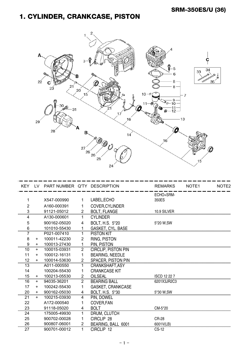#### 1. CYLINDER, CRANKCASE, PISTON



|    |           | KEY LV PART NUMBER Q'TY DESCRIPTION |                |                            | <b>REMARKS</b>      | NOTE <sub>1</sub> | NOTE <sub>2</sub> |
|----|-----------|-------------------------------------|----------------|----------------------------|---------------------|-------------------|-------------------|
|    |           |                                     |                |                            | ECHO+SRM-           |                   |                   |
| 1  |           | X547-000990                         | 1              | LABEL, ECHO                | 350ES               |                   |                   |
| 2  |           | A160-000391                         |                | COVER, CYLINDER            |                     |                   |                   |
| 3  |           | 91121-05012                         | $\overline{2}$ | <b>BOLT, FLANGE</b>        | 10.9 SILVER         |                   |                   |
| 4  |           | A130-000601                         | 1              | <b>CYLINDER</b>            |                     |                   |                   |
| 5  |           | 900162-05020                        | 4              | BOLT, H.S. 5*20            | 5*20 W,SW           |                   |                   |
| 6  |           | 101010-55430                        | 1              | <b>GASKET, CYL. BASE</b>   |                     |                   |                   |
| 7  |           | P021-007410                         | 1              | <b>PISTON KIT</b>          |                     |                   |                   |
| 8  | $\ddot{}$ | 100011-42230                        | 2              | RING, PISTON               |                     |                   |                   |
| 9  | $\ddot{}$ | 100013-27430                        | 1              | PIN. PISTON                |                     |                   |                   |
| 10 | $+$       | 100015-03931                        | $\overline{2}$ | <b>CIRCLIP, PISTON PIN</b> |                     |                   |                   |
| 11 | $\ddot{}$ | 100012-16131                        | 1              | <b>BEARING, NEEDLE</b>     |                     |                   |                   |
| 12 | +         | 100014-53630                        | $\overline{c}$ | <b>SPACER, PISTON PIN</b>  |                     |                   |                   |
| 13 |           | A011-000550                         | 1              | CRANKSHAFT, ASY            |                     |                   |                   |
| 14 |           | 100204-55430                        | 1              | <b>CRANKCASE KIT</b>       |                     |                   |                   |
| 15 | $+$       | 100213-05530                        | $\overline{2}$ | <b>OILSEAL</b>             | <b>ISCD 12 22 7</b> |                   |                   |
| 16 | $+$       | 94035-36201                         | $\overline{2}$ | <b>BEARING BALL</b>        | 6201X3JR2C3         |                   |                   |
| 17 | $\ddot{}$ | 100242-55430                        | 1              | GASKET, CRANKCASE          |                     |                   |                   |
| 20 | $+$       | 900162-05030                        | 4              | BOLT, H.S. 5*30            | 5*30 W.SW           |                   |                   |
| 21 | $+$       | 100215-03930                        | 4              | PIN, DOWEL                 |                     |                   |                   |
| 22 |           | A172-000540                         | 1              | COVER, FAN                 |                     |                   |                   |
| 23 |           | 91118-05020                         | 4              | <b>BOLT</b>                | CM-5*20             |                   |                   |
| 24 |           | 175005-49930                        | 1              | DRUM, CLUTCH               |                     |                   |                   |
| 25 |           | 900702-00028                        | 1              | CIRCLIP <sub>28</sub>      | <b>CR-28</b>        |                   |                   |
| 26 |           | 900807-06001                        | $\overline{2}$ | BEARING, BALL 6001         | 6001V(LB)           |                   |                   |
| 27 |           | 900701-00012                        | 1              | CIRCLIP 12                 | CS-12               |                   |                   |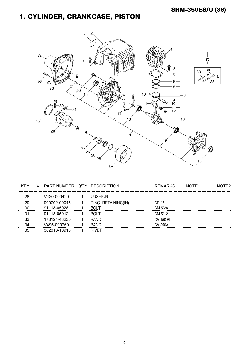#### 1. CYLINDER, CRANKCASE, PISTON



| KFY | PART NUMBER Q'TY | <b>DESCRIPTION</b>  | <b>REMARKS</b>   | NOTE <sub>1</sub> | NOTE <sub>2</sub> |
|-----|------------------|---------------------|------------------|-------------------|-------------------|
| 28  | V420-000420      | <b>CUSHION</b>      |                  |                   |                   |
| 29  | 900702-00045     | RING, RETAINING(IN) | CR-45            |                   |                   |
| 30  | 91118-05028      | <b>BOLT</b>         | CM-5*28          |                   |                   |
| 31  | 91118-05012      | <b>BOLT</b>         | CM-5*12          |                   |                   |
| 33  | 178121-43230     | <b>BAND</b>         | <b>CV-150 BL</b> |                   |                   |
| 34  | V495-000760      | <b>BAND</b>         | CV-250A          |                   |                   |
| 35  | 302013-10910     | <b>RIVFT</b>        |                  |                   |                   |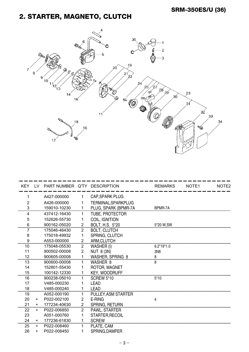#### 2. STARTER, MAGNETO, CLUTCH



| KEY LV   |            | PART NUMBER Q'TY DESCRIPTION |                |                            | <b>REMARKS</b>  | NOTE <sub>1</sub> | NOTE <sub>2</sub> |
|----------|------------|------------------------------|----------------|----------------------------|-----------------|-------------------|-------------------|
|          |            | A427-000000                  |                | <b>CAP, SPARK PLUG</b>     |                 |                   |                   |
| 2        |            | A426-000000                  |                | TERMINAL, SPARKPLUG        |                 |                   |                   |
| 3        |            | 159010-10230                 | 1              | PLUG, SPARK (BPMR-7A       | BPMR-7A         |                   |                   |
| 4        |            | 437412-16430                 | 1              | <b>TUBE, PROTECTOR</b>     |                 |                   |                   |
| 5        |            | 152626-55730                 |                | COIL, IGNITION             |                 |                   |                   |
| 6        |            | 900162-05020                 | 2              | BOLT, H.S. 5*20            | 5*20 W, SW      |                   |                   |
|          |            | 175046-46430                 | $\overline{2}$ | <b>BOLT, CLUTCH</b>        |                 |                   |                   |
| 8        |            | 175018-49932                 | 1              | SPRING, CLUTCH             |                 |                   |                   |
| 9        |            | A553-000000                  | $\overline{2}$ | ARM, CLUTCH                |                 |                   |                   |
| 10       |            | 175048-05530                 | $\overline{c}$ | WASHER (I)                 | $6.2*19*1.0$    |                   |                   |
| 11       |            | 900502-00008                 | $\overline{2}$ | <b>NUT 8 (3N)</b>          | 3N <sub>8</sub> |                   |                   |
| 12       |            | 900605-00008                 | 1              | <b>WASHER, SPRING 8</b>    | 8               |                   |                   |
| 13       |            | 900600-00008                 | 1.             | WASHER 8                   | 8               |                   |                   |
| 14       |            | 152801-55430                 |                | ROTOR, MAGNET              |                 |                   |                   |
| 15       |            | 100142-12330                 |                | <b>KEY, WOODRUFF</b>       |                 |                   |                   |
| 16       |            | 900238-05010                 |                | <b>SCREW 5*10</b>          | $5*10$          |                   |                   |
| 17       |            | V485-000230                  |                | <b>LEAD</b>                |                 |                   |                   |
| 18       |            | V485-000240                  |                | <b>LEAD</b>                |                 |                   |                   |
| 19       |            | A052-000190                  |                | PULLEY, ASM STARTER        |                 |                   |                   |
| 20       | $+$        | P022-002100                  | $\overline{2}$ | E-RING                     | 4               |                   |                   |
| 21       | $+$        | 177234-40630                 | $\overline{2}$ | SPRING, RETURN             |                 |                   |                   |
| 22       | $+$        | P022-006850                  | $\overline{2}$ | PAWL, STARTER              |                 |                   |                   |
| 23       |            | A051-000760                  |                | STARTER, RECOIL            |                 |                   |                   |
| 24<br>25 | $+$<br>$+$ | 177236-61830<br>P022-008460  | 1              | <b>SCREW</b><br>PLATE, CAM |                 |                   |                   |
| 26       | $\pm$      | P022-008450                  |                | SPRING, DAMPER             |                 |                   |                   |
|          |            |                              |                |                            |                 |                   |                   |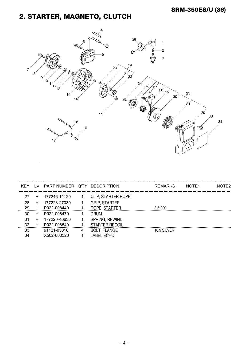#### 2. STARTER, MAGNETO, CLUTCH



| KEY | TV.       | PART NUMBER Q'TY |   | <b>DESCRIPTION</b>        | <b>REMARKS</b> | NOTE <sub>1</sub> | NOTE <sub>2</sub> |
|-----|-----------|------------------|---|---------------------------|----------------|-------------------|-------------------|
| 27  | $\pm$     | 177246-11120     |   | <b>CLIP, STARTER ROPE</b> |                |                   |                   |
| 28  | $\pm$     | 177228-27030     |   | <b>GRIP, STARTER</b>      |                |                   |                   |
| 29  | $\ddot{}$ | P022-008440      |   | ROPE, STARTER             | $3.5*900$      |                   |                   |
| 30  | $\pm$     | P022-008470      |   | <b>DRUM</b>               |                |                   |                   |
| 31  | $\pm$     | 177220-40630     |   | SPRING, REWIND            |                |                   |                   |
| 32  | $\pm$     | P022-008540      |   | STARTER, RECOIL           |                |                   |                   |
| 33  |           | 91121-05016      | 4 | <b>BOLT, FLANGE</b>       | 10.9 SILVER    |                   |                   |
| 34  |           | X502-000520      |   | LABEL, ECHO               |                |                   |                   |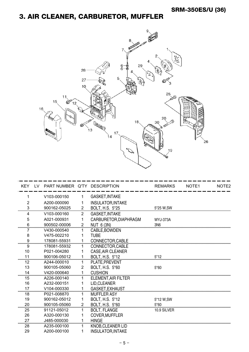#### 3. AIR CLEANER, CARBURETOR, MUFFLER



| <b>KEY</b>     | LV. | PART NUMBER Q'TY DESCRIPTION |                |                            | <b>REMARKS</b>  | NOTE <sub>1</sub> | NOTE <sub>2</sub> |
|----------------|-----|------------------------------|----------------|----------------------------|-----------------|-------------------|-------------------|
|                |     | V103-000150                  | 1              | <b>GASKET, INTAKE</b>      |                 |                   |                   |
| $\overline{2}$ |     | A200-000090                  | 1              | <b>INSULATOR, INTAKE</b>   |                 |                   |                   |
| 3              |     | 900162-05025                 | $\overline{2}$ | BOLT, H.S. 5*25            | 5*25 W.SW       |                   |                   |
| 4              |     | V103-000160                  | $\overline{2}$ | <b>GASKET, INTAKE</b>      |                 |                   |                   |
| 5              |     | A021-000931                  | 1              | CARBURETOR, DIAPHRAGM      | <b>WYJ-373A</b> |                   |                   |
|                |     | 900502-00006                 | $\overline{2}$ | NUT 6 (3N)                 | 3N6             |                   |                   |
|                |     | V430-000540                  | 1              | CABLE, BOWDEN              |                 |                   |                   |
| 8              |     | V475-002210                  | 1              | <b>TUBE</b>                |                 |                   |                   |
| 9              |     | 178081-55931                 |                | CONNECTOR, CABLE           |                 |                   |                   |
| 9              |     | 178081-55932                 | 1              | CONNECTOR, CABLE           |                 |                   |                   |
| 10             |     | P021-004280                  | 1              | <b>CASE, AIR CLEANER</b>   |                 |                   |                   |
| 11             |     | 900106-05012                 | 1              | BOLT, H.S. 5*12            | $5*12$          |                   |                   |
| 12             |     | A244-000010                  | $\mathbf{1}$   | PLATE, PREVENT             |                 |                   |                   |
| 13             |     | 900105-05060                 | $\overline{2}$ | BOLT, H.S. 5*60            | $5*60$          |                   |                   |
| 14             |     | V420-000640                  | $\mathbf{1}$   | <b>CUSHION</b>             |                 |                   |                   |
| 15             |     | A226-000140                  | 1.             | <b>ELEMENT, AIR FILTER</b> |                 |                   |                   |
| 16             |     | A232-000151                  | 1              | LID, CLEANER               |                 |                   |                   |
| 17             |     | V104-000330                  | 1              | GASKET, EXHAUST            |                 |                   |                   |
| 18             |     | P021-008870                  |                | <b>MUFFLER ASY</b>         |                 |                   |                   |
| 19             |     | 900162-05012                 | 1              | BOLT, H.S. 5*12            | 5*12 W,SW       |                   |                   |
| 20             |     | 900105-05060                 | $\overline{2}$ | BOLT, H.S. 5*60            | $5*60$          |                   |                   |
| 25             |     | 91121-05012                  |                | <b>BOLT, FLANGE</b>        | 10.9 SILVER     |                   |                   |
| 26             |     | A320-000130                  | 1              | COVER, MUFFLER             |                 |                   |                   |
| 27             |     | J485-000030                  | 1              | <b>HINGE</b>               |                 |                   |                   |
| 28             |     | A235-000100                  | 1              | KNOB, CLEANER LID          |                 |                   |                   |
| 29             |     | A200-000100                  | 1              | <b>INSULATOR, INTAKE</b>   |                 |                   |                   |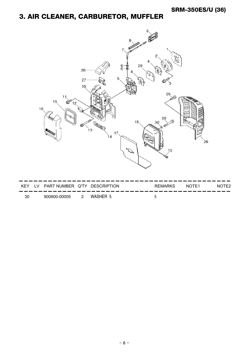#### 3. AIR CLEANER, CARBURETOR, MUFFLER



| KEY | PART NUMBER Q'TY DESCRIPTION |          | <b>REMARKS</b> | NOTE1 | and the state of the state of<br>NOTE <sub>2</sub> |
|-----|------------------------------|----------|----------------|-------|----------------------------------------------------|
| 30  | 900600-00005                 | WASHER 5 |                |       |                                                    |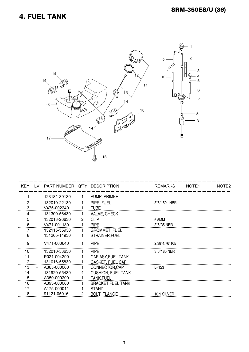

| <b>KEY</b> | LV. | PART NUMBER Q'TY DESCRIPTION |    |                           | <b>REMARKS</b> | NOTE <sub>1</sub> | NOTE2 |
|------------|-----|------------------------------|----|---------------------------|----------------|-------------------|-------|
|            |     | 123181-39130                 | 1. | PUMP, PRIMER              |                |                   |       |
| 2          |     | 132010-22130                 |    | PIPE, FUEL                | 3*6*150L NBR   |                   |       |
| 3          |     | V475-002240                  |    | <b>TUBE</b>               |                |                   |       |
| 4          |     | 131300-56430                 |    | <b>VALVE, CHECK</b>       |                |                   |       |
| 5          |     | 132013-26630                 | 2  | <b>CLIP</b>               | 6.5MM          |                   |       |
| 6          |     | V471-001180                  |    | <b>PIPE</b>               | 3*6*35 NBR     |                   |       |
|            |     | 132115-55930                 |    | <b>GROMMET, FUEL</b>      |                |                   |       |
| 8          |     | 131205-14930                 |    | STRAINER, FUEL            |                |                   |       |
| 9          |     | V471-000640                  | 1. | <b>PIPE</b>               | 2.38*4.76*105  |                   |       |
| 10         |     | 132010-53630                 |    | <b>PIPE</b>               | 3*6*180 NBR    |                   |       |
| 11         |     | P021-004290                  |    | CAP ASY, FUEL TANK        |                |                   |       |
| 12         | $+$ | 131016-55830                 |    | <b>GASKET, FUEL CAP</b>   |                |                   |       |
| 13         | $+$ | A365-000060                  |    | CONNECTOR, CAP            | $L = 123$      |                   |       |
| 14         |     | 131920-55430                 | 4  | <b>CUSHION, FUEL TANK</b> |                |                   |       |
| 15         |     | A350-000200                  |    | <b>TANK, FUEL</b>         |                |                   |       |
| 16         |     | A393-000060                  |    | <b>BRACKET, FUEL TANK</b> |                |                   |       |
| 17         |     | A175-000011                  |    | <b>STAND</b>              |                |                   |       |
| 18         |     | 91121-05016                  | 2  | <b>BOLT, FLANGE</b>       | 10.9 SILVER    |                   |       |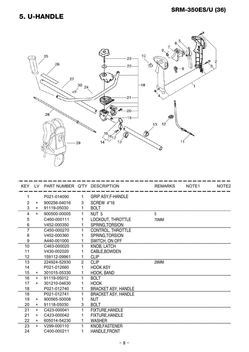#### **5. U-HANDLE**



| <b>KEY</b> |           | LV PART NUMBER Q'TY DESCRIPTION |                |                            | <b>REMARKS</b> | NOTE <sub>1</sub> | NOTE <sub>2</sub> |
|------------|-----------|---------------------------------|----------------|----------------------------|----------------|-------------------|-------------------|
| 1          |           | P021-014090                     | 1.             | <b>GRIP ASY, F-HANDLE</b>  |                |                   |                   |
| 2          | $\ddot{}$ | 900256-04016                    | 3              | SCREW 4*16                 |                |                   |                   |
| 3          | $\ddot{}$ | 91119-05030                     | 1              | <b>BOLT</b>                |                |                   |                   |
| 4          | $+$       | 900500-00005                    | 1              | NUT <sub>5</sub>           | 5              |                   |                   |
| 5          |           | C460-000111                     | 1              | LOCKOUT, THROTTLE          | 70MM           |                   |                   |
| 6          |           | V452-000350                     | 1              | SPRING, TORSION            |                |                   |                   |
|            |           | C450-000270                     | 1.             | CONTROL, THROTTLE          |                |                   |                   |
| 8          |           | V452-000360                     |                | SPRING, TORSION            |                |                   |                   |
| 9          |           | A440-001000                     | 1              | SWITCH, ON OFF             |                |                   |                   |
| 10         |           | C463-000020                     | 1.             | <b>KNOB, LATCH</b>         |                |                   |                   |
| 11         |           | V430-002020                     |                | CABLE, BOWDEN              |                |                   |                   |
| 12         |           | 159112-09961                    | 1              | <b>CLIP</b>                |                |                   |                   |
| 13         |           | 224924-52930                    | $\overline{2}$ | <b>CLIP</b>                | 28MM           |                   |                   |
| 14         |           | P021-012660                     | 1              | <b>HOOK ASY</b>            |                |                   |                   |
| 15         | $+$       | 301015-05330                    | 1              | HOOK, BAND                 |                |                   |                   |
| 16         | $\ddot{}$ | 91119-05012                     | 1              | <b>BOLT</b>                |                |                   |                   |
| 17         | $+$       | 301210-04630                    | 1              | <b>HOOK</b>                |                |                   |                   |
| 18         |           | P021-012740                     | 1              | <b>BRACKET ASY, HANDLE</b> |                |                   |                   |
| 18         |           | P021-012741                     |                | <b>BRACKET ASY, HANDLE</b> |                |                   |                   |
| 19         | $+$       | 900565-50008                    | 1              | <b>NUT</b>                 |                |                   |                   |
| 20         | $+$       | 91118-05030                     | 3              | <b>BOLT</b>                |                |                   |                   |
| 21         | +         | C423-000041                     |                | <b>FIXTURE, HANDLE</b>     |                |                   |                   |
| 21         | $+$       | C423-000042                     | 1              | FIXTURE, HANDLE            |                |                   |                   |
| 22         | $+$       | 605014-54230                    | $\mathbf{1}$   | <b>WASHER</b>              |                |                   |                   |
| 23         | $+$       | V299-000110                     | 1              | KNOB, FASTENER             |                |                   |                   |
| 24         |           | C400-000211                     | 1              | HANDLE, FRONT              |                |                   |                   |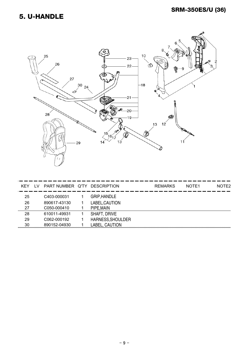#### **SRM-350ES/U (36)**

#### 5. U-HANDLE



| KEY | TV. | PART NUMBER Q'TY | <b>DESCRIPTION</b>  | <b>REMARKS</b> | NOTE <sub>1</sub> | NOTE <sub>2</sub> |
|-----|-----|------------------|---------------------|----------------|-------------------|-------------------|
| 25  |     | C403-000031      | <b>GRIP, HANDLE</b> |                |                   |                   |
| 26  |     | 890617-43130     | LABEL, CAUTION      |                |                   |                   |
| 27  |     | C050-000410      | PIPE, MAIN          |                |                   |                   |
| 28  |     | 610011-49931     | SHAFT, DRIVE        |                |                   |                   |
| 29  |     | C062-000192      | HARNESS, SHOULDER   |                |                   |                   |
| 30  |     | 890152-04930     | LABEL. CAUTION      |                |                   |                   |
|     |     |                  |                     |                |                   |                   |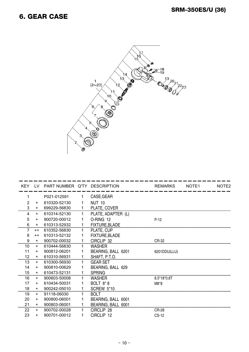#### **6. GEAR CASE**



| <b>KEY</b> | $\overline{1}$ | PART NUMBER Q'TY DESCRIPTION |    |                       | <b>REMARKS</b> | NOTE <sub>1</sub> | NOTE <sub>2</sub> |
|------------|----------------|------------------------------|----|-----------------------|----------------|-------------------|-------------------|
| 1          |                | P021-012591                  | 1  | CASE, GEAR            |                |                   |                   |
| 2          | $\ddot{}$      | 610320-52130                 | 1  | <b>NUT 10</b>         |                |                   |                   |
| 3          | $\ddot{}$      | 699229-56830                 | 1  | PLATE, COVER          |                |                   |                   |
| 4          | $+$            | 610314-52130                 | 1. | PLATE, ADAPTER (L)    |                |                   |                   |
| 5          | $\ddot{}$      | 900720-00012                 | 1  | O-RING 12             | $P-12$         |                   |                   |
| 6          | $\ddot{}$      | 610313-52932                 | 1  | FIXTURE, BLADE        |                |                   |                   |
| 7          | $++$           | 610352-56830                 | 1  | PLATE, CUP            |                |                   |                   |
| 8          | $++$           | 610313-52132                 | 1  | <b>FIXTURE, BLADE</b> |                |                   |                   |
| 9          | $\ddot{}$      | 900702-00032                 |    | CIRCLIP 32            | CR-32          |                   |                   |
| 10         | $\ddot{}$      | 610444-56830                 | 1  | <b>WASHER</b>         |                |                   |                   |
| 11         | $\ddot{}$      | 900812-06201                 |    | BEARING, BALL 6201    | 6201DDU(LLU)   |                   |                   |
| 12         | $+$            | 610310-56931                 | 1  | SHAFT, P.T.O.         |                |                   |                   |
| 13         | $+$            | 610300-56930                 | 1  | <b>GEAR SET</b>       |                |                   |                   |
| 14         | $+$            | 900810-00629                 |    | BEARING, BALL 629     |                |                   |                   |
| 15         | $+$            | 610473-52131                 | 1  | <b>SPRING</b>         |                |                   |                   |
| 16         | $+$            | 900603-50008                 | 1  | <b>WASHER</b>         | 8.5*18*0.8T    |                   |                   |
| 17         | $\ddot{}$      | 610434-50031                 | 1  | <b>BOLT 8*8</b>       | $M8*8$         |                   |                   |
| 18         | +              | 900242-05010                 |    | <b>SCREW 5*10</b>     |                |                   |                   |
| 19         | $\ddot{}$      | 91118-06030                  | 1. | <b>BOLT</b>           |                |                   |                   |
| 20         | $\ddot{}$      | 900800-06001                 |    | BEARING, BALL 6001    |                |                   |                   |
| 21         | $+$            | 900803-06001                 |    | BEARING, BALL 6001    |                |                   |                   |
| 22         | $+$            | 900702-00028                 |    | CIRCLIP 28            | CR-28          |                   |                   |
| 23         | $\ddot{}$      | 900701-00012                 |    | CIRCLIP 12            | <b>CS-12</b>   |                   |                   |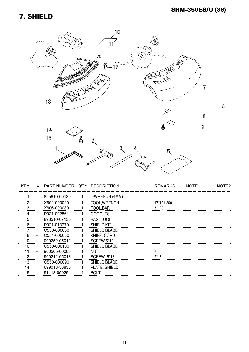#### **7. SHIELD**



| KEY. | LV.       | PART NUMBER Q'TY DESCRIPTION |    |                   | <b>REMARKS</b> | NOTE <sub>1</sub> | NOTE <sub>2</sub> |
|------|-----------|------------------------------|----|-------------------|----------------|-------------------|-------------------|
|      |           | 895610-00130                 | 1  | L-WRENCH (4MM)    |                |                   |                   |
|      |           | X602-000020                  |    | TOOL, WRENCH      | 17*19 L200     |                   |                   |
| 3    |           | X606-000080                  |    | TOOL, BAR         | 5*120          |                   |                   |
| 4    |           | P021-002861                  | 1. | <b>GOGGLES</b>    |                |                   |                   |
| 5    |           | 898510-07130                 |    | <b>BAG, TOOL</b>  |                |                   |                   |
| 6    |           | P021-013770                  |    | <b>SHIELD KIT</b> |                |                   |                   |
|      | $+$       | C550-000080                  |    | SHIELD, BLADE     |                |                   |                   |
| 8    | $\ddot{}$ | C554-000030                  |    | KNIFE, CORD       |                |                   |                   |
| 9    | $\ddot{}$ | 900252-05012                 |    | <b>SCREW 5*12</b> |                |                   |                   |
| 10   |           | C550-000100                  |    | SHIELD, BLADE     |                |                   |                   |
| 11   | $\ddot{}$ | 900565-00005                 |    | NUT               | 5              |                   |                   |
| 12   |           | 900242-05018                 |    | SCREW 5*18        | 5*18           |                   |                   |
| 13   |           | C550-000090                  | 1  | SHIELD, BLADE     |                |                   |                   |
| 14   |           | 699013-56830                 |    | PLATE, SHIELD     |                |                   |                   |
| 15   |           | 91118-05025                  | 4  | <b>BOLT</b>       |                |                   |                   |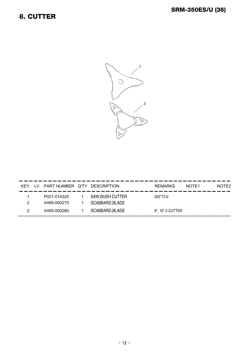#### 8. CUTTER



| KFY | PART NUMBER Q'TY DESCRIPTION |                                            | <b>REMARKS</b>   | NOTE1 | NOTE <sub>2</sub> |
|-----|------------------------------|--------------------------------------------|------------------|-------|-------------------|
|     | P021-014320<br>X495-000270   | <b>SAW, BUSH CUTTER</b><br>SCABBARD, BLADE | 255*T3.0         |       |                   |
|     | X495-000280                  | SCABBARD, BLADE                            | 9", 10" 3 CUTTER |       |                   |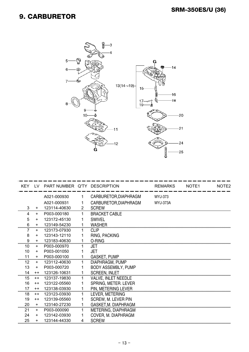#### **9. CARBURETOR**



|    |           | KEY LV PART NUMBER Q'TY DESCRIPTION |                |                            | <b>REMARKS</b>  | NOTE <sub>1</sub> | NOTE <sub>2</sub> |
|----|-----------|-------------------------------------|----------------|----------------------------|-----------------|-------------------|-------------------|
|    |           | A021-000930                         |                | CARBURETOR, DIAPHRAGM      | WYJ-373         |                   |                   |
|    |           | A021-000931                         |                | CARBURETOR, DIAPHRAGM      | <b>WYJ-373A</b> |                   |                   |
| 3  | $\ddot{}$ | 123114-40630                        | $\overline{2}$ | <b>SCREW</b>               |                 |                   |                   |
| 4  | $+$       | P003-000180                         |                | <b>BRACKET CABLE</b>       |                 |                   |                   |
| 5  | $\ddot{}$ | 123172-45130                        |                | <b>SWIVEL</b>              |                 |                   |                   |
| 6  | $+$       | 123149-54230                        |                | <b>WASHER</b>              |                 |                   |                   |
|    | $+$       | 123173-07930                        |                | <b>CLIP</b>                |                 |                   |                   |
| 8  | $\ddot{}$ | 123143-12110                        |                | RING, PACKING              |                 |                   |                   |
| 9  | $\ddot{}$ | 123183-40630                        |                | O-RING                     |                 |                   |                   |
| 10 | $\ddot{}$ | P003-000970                         |                | JET                        |                 |                   |                   |
| 10 | $+$       | P003-001050                         |                | JFT.                       |                 |                   |                   |
| 11 | $+$       | P003-000100                         |                | <b>GASKET, PUMP</b>        |                 |                   |                   |
| 12 | $+$       | 123112-40630                        |                | DIAPHRAGM, PUMP            |                 |                   |                   |
| 13 | $+$       | P003-000720                         |                | <b>BODY ASSEMBLY, PUMP</b> |                 |                   |                   |
| 14 | $++$      | 123126-10631                        |                | <b>SCREEN, INLET</b>       |                 |                   |                   |
| 15 | $++$      | 123137-19830                        |                | <b>VALVE, INLET NEEDLE</b> |                 |                   |                   |
| 16 | $++$      | 123122-05560                        |                | SPRING, METER. LEVER       |                 |                   |                   |
| 17 | $++$      | 123138-03930                        |                | PIN, METERING LEVER        |                 |                   |                   |
| 18 | $++$      | 123123-03930                        |                | LEVER, METERING            |                 |                   |                   |
| 19 | $++$      | 123139-05560                        |                | <b>SCREW, M. LEVER PIN</b> |                 |                   |                   |
| 20 | $+$       | 123140-27230                        |                | GASKET, M. DIAPHRAGM       |                 |                   |                   |
| 21 | $+$       | P003-000090                         |                | METERING, DIAPHRAGM        |                 |                   |                   |
| 24 | $+$       | 123142-03930                        |                | COVER, M. DIAPHRAGM        |                 |                   |                   |
| 25 | $+$       | 123144-44330                        | 4              | <b>SCREW</b>               |                 |                   |                   |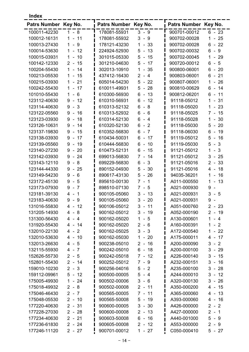| ×<br>٧<br>۹ |
|-------------|
|-------------|

| <b>Index</b>         |                                                |                      |                                                  |                      |                                     |
|----------------------|------------------------------------------------|----------------------|--------------------------------------------------|----------------------|-------------------------------------|
| Patrs Number Key No. |                                                | Patrs Number Key No. |                                                  | Patrs Number Key No. |                                     |
| 100011-42230         | $1 - 8$                                        | 178081-55931         | $3 - 9$                                          | 900701-00012         | $6 - 23$                            |
| 100012-16131         | 11<br>$\mathbf{1}$<br>$\blacksquare$           | 178081-55932         | 3<br>$-9$                                        | 900702-00028         | 25<br>1<br>$\blacksquare$           |
| 100013-27430         | 9<br>$\mathbf 1$<br>$\blacksquare$             | 178121-43230         | $-33$<br>$\mathbf{1}$                            | 900702-00028         | 22<br>$6 -$                         |
| 100014-53630         | 12<br>$\mathbf{1}$<br>$\sim$                   | 224924-52930         | 5<br>13<br>$\tilde{\phantom{a}}$                 | 900702-00032         | 9<br>6<br>$\sim$                    |
| 100015-03931         | 10<br>$\mathbf 1$<br>$\sim$                    | 301015-05330         | 5<br>15<br>$\blacksquare$                        | 900702-00045         | 29<br>1<br>$\blacksquare$           |
| 100142-12330         | 15<br>$2 -$                                    | 301210-04630         | 5<br>17<br>$\blacksquare$                        | 900720-00012         | 5<br>6<br>$\sim$                    |
| 100204-55430         | $\mathbf{1}$<br>14<br>$\blacksquare$           | 302013-10910         | $\mathbf{1}$<br>35<br>$\blacksquare$             | 900800-06001         | $6 -$<br>20                         |
| 100213-05530         | $\mathbf{1}$<br>15<br>$\blacksquare$           | 437412-16430         | $2 -$<br>$\overline{4}$                          | 900803-06001         | 6<br>21<br>$\sim$                   |
| 100215-03930         | 21<br>$\mathbf{1}$<br>$\blacksquare$           | 605014-54230         | 5<br>22<br>$\Box$                                | 900807-06001         | 1<br>26<br>$\blacksquare$           |
| 100242-55430         | 17<br>$\mathbf{1}$<br>$\overline{\phantom{a}}$ | 610011-49931         | 5<br>28<br>$\blacksquare$                        | 900810-00629         | 14<br>6<br>$\overline{\phantom{a}}$ |
| 101010-55430         | 6<br>$\mathbf 1$<br>÷,                         | 610300-56930         | 6<br>13<br>$\blacksquare$                        | 900812-06201         | 6<br>11<br>$\overline{a}$           |
| 123112-40630         | 9<br>12<br>$\blacksquare$                      | 610310-56931         | 6<br>12<br>$\tilde{\phantom{a}}$                 | 91118-05012          | 31<br>1<br>$\blacksquare$           |
| 123114-40630         | 9<br>3<br>$\blacksquare$                       | 610313-52132         | 6<br>8<br>$\blacksquare$                         | 91118-05020          | 23<br>1<br>$\blacksquare$           |
| 123122-05560         | 16<br>9<br>$\blacksquare$                      | 610313-52932         | $6\phantom{1}6$<br>6<br>$\blacksquare$           | 91118-05025          | 15<br>$7 -$                         |
| 123123-03930         | 18<br>9<br>$\blacksquare$                      | 610314-52130         | 6<br>$-4$                                        | 91118-05028          | 30<br>1<br>$\overline{\phantom{a}}$ |
| 123126-10631         | 9<br>14<br>$\blacksquare$                      | 610320-52130         | 6<br>$\overline{2}$<br>$\ddot{\phantom{1}}$      | 91118-05030          | 20<br>5<br>$\overline{\phantom{a}}$ |
| 123137-19830         | 9<br>15<br>$\blacksquare$                      | 610352-56830         | $\overline{7}$<br>6<br>÷,                        | 91118-06030          | 19<br>6<br>$\overline{\phantom{a}}$ |
| 123138-03930         | 17<br>9<br>$\sim$                              | 610434-50031         | 6<br>17<br>$\blacksquare$                        | 91119-05012          | 16<br>5<br>$\overline{\phantom{a}}$ |
| 123139-05560         | 9<br>$-19$                                     | 610444-56830         | 6<br>10<br>ä,                                    | 91119-05030          | 5<br>3<br>$\sim$                    |
| 123140-27230         | 20<br>9<br>$\sim$                              | 610473-52131         | 6<br>15<br>$\blacksquare$                        | 91121-05012          | 3<br>1<br>$\blacksquare$            |
| 123142-03930         | $-24$<br>9                                     | 699013-56830         | $\overline{7}$<br>14<br>$\overline{\phantom{a}}$ | 91121-05012          | 3<br>25<br>$\overline{\phantom{a}}$ |
| 123143-12110         | 8<br>9<br>$\sim$                               | 699229-56830         | 3<br>6<br>$\blacksquare$                         | 91121-05016          | 33<br>$\overline{2}$<br>$\sim$      |
| 123144-44330         | 9<br>$-25$                                     | 890152-04930         | 5<br>30<br>$\blacksquare$                        | 91121-05016          | 18<br>4 -                           |
| 123149-54230         | 6<br>9<br>$\blacksquare$                       | 890617-43130         | 5<br>26<br>$\sim$                                | 94035-36201          | 16<br>1<br>$\ddot{\phantom{1}}$     |
| 123172-45130         | 5<br>9<br>$\blacksquare$                       | 895610-00130         | $7^{\circ}$<br>$\overline{1}$<br>$\blacksquare$  | A011-000550          | 13<br>1<br>$\overline{a}$           |
| 123173-07930         | $\overline{7}$<br>9<br>$\blacksquare$          | 898510-07130         | 5<br>$7 -$                                       | A021-000930          | 9<br>$\overline{\phantom{a}}$       |
| 123181-39130         | $4 - 1$                                        | 900105-05060         | $3 -$<br>13                                      | A021-000931          | 3<br>-5<br>$\sim$                   |
| 123183-40630         | 9-9                                            | 900105-05060         | $3 - 20$                                         | A021-000931          | 9<br>$\overline{\phantom{a}}$       |
| 131016-55830         | $4 - 12$                                       | 900106-05012         | $3 - 11$                                         | A051-000760          | $2 - 23$                            |
| 131205-14930         | $4 - 8$                                        | 900162-05012         | $3 - 19$                                         | A052-000190          | $2 - 19$                            |
| 131300-56430         | $4 - 4$                                        | 900162-05020         | $1 - 5$                                          | A130-000601          | $1 - 4$                             |
| 131920-55430         | $4 - 14$                                       | 900162-05020         | $2 - 6$                                          | A160-000391          | 1<br>$-2$                           |
| 132010-22130         | $4 - 2$                                        | 900162-05025         | $3 - 3$                                          | A172-000540          | $-22$<br>1                          |
| 132010-53630         | $4 - 10$                                       | 900162-05030         | $1 - 20$                                         | A175-000011          | $4 - 17$                            |
| 132013-26630         | $4 - 5$                                        | 900238-05010         | 16<br>$2 -$                                      | A200-000090          | $3 - 2$                             |
| 132115-55930         | $4 - 7$                                        | 900242-05010         | $6 - 18$                                         | A200-000100          | $3 - 29$                            |
| 152626-55730         | $2 - 5$                                        | 900242-05018         | $7 - 12$                                         | A226-000140          | $3 -$<br>15                         |
| 152801-55430         | $2 - 14$                                       | 900252-05012         | $7 - 9$                                          | A232-000151          | $3 -$<br>16                         |
| 159010-10230         | $2 - 3$                                        | 900256-04016         | $5 - 2$                                          | A235-000100          | $3 -$<br>28                         |
| 159112-09961         | $5 - 12$                                       | 900500-00005         | 5<br>$-4$                                        | A244-000010          | $3 -$<br>12                         |
| 175005-49930         | $-24$<br>$\mathbf 1$                           | 900502-00006         | 3<br>$-6$                                        | A320-000130          | $3 -$<br>26                         |
| 175018-49932         | $2 - 8$                                        | 900502-00008         | $2 - 11$                                         | A350-000200          | 4 -<br>15                           |
| 175046-46430         | $2 - 7$                                        | 900565-00005         | $7 - 11$                                         | A365-000060          | 13<br>4 -                           |
| 175048-05530         | $2 - 10$                                       | 900565-50008         | $5 - 19$                                         | A393-000060          | 4 -<br>16                           |
| 177220-40630         | $2 - 31$                                       | 900600-00005         | $3 - 30$                                         | A426-000000          | $2 - 2$                             |
| 177228-27030         | $2 - 28$                                       | 900600-00008         | $2 - 13$                                         | A427-000000          | $2 - 1$                             |
| 177234-40630         | $2 - 21$                                       | 900603-50008         | $6 - 16$                                         | A440-001000          | $5 - 9$                             |
| 177236-61830         | $2 - 24$                                       | 900605-00008         | $2 - 12$                                         | A553-000000          | $2 - 9$                             |
| 177246-11120         | $2 - 27$                                       | 900701-00012         | $1 - 27$                                         | C050-000410          | $5 - 27$                            |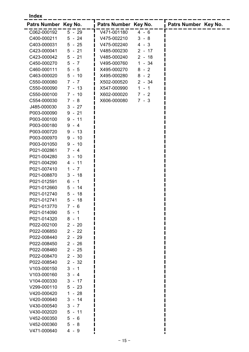#### **Index**

| Patrs Number Key No. |            | Patrs Number Key No.    | Patrs Number Key No. |
|----------------------|------------|-------------------------|----------------------|
| C062-000192          | $5 - 29$   | V471-001180<br>$4 - 6$  |                      |
| C400-000211          | $5 - 24$   | V475-002210<br>$3 - 8$  |                      |
| C403-000031          | $5 - 25$   | V475-002240<br>$4 - 3$  |                      |
| C423-000041          | $5 - 21$   | $2 - 17$<br>V485-000230 |                      |
| C423-000042          | $5 - 21$   | V485-000240<br>$2 - 18$ |                      |
| C450-000270          | $5 - 7$    | $1 - 34$<br>V495-000760 |                      |
| C460-000111          | $5 - 5$    | X495-000270<br>$8 - 2$  |                      |
| C463-000020          | $5 - 10$   | $8 - 2$<br>X495-000280  |                      |
| C550-000080          | $7 - 7$    | X502-000520<br>$2 - 34$ |                      |
| C550-000090          | $7 - 13$   | X547-000990<br>$1 - 1$  |                      |
| C550-000100          | $7 - 10$   | $7 - 2$<br>X602-000020  |                      |
| C554-000030          | $7 - 8$    | X606-000080<br>$7 - 3$  |                      |
| J485-000030          | $3 - 27$   |                         |                      |
| P003-000090          | $9 - 21$   |                         |                      |
| P003-000100          | $9 - 11$   |                         |                      |
| P003-000180          | $9 - 4$    |                         |                      |
| P003-000720          | $9 - 13$   |                         |                      |
| P003-000970          | $9 - 10$   |                         |                      |
| P003-001050          | $9 - 10$   |                         |                      |
| P021-002861          | $7 - 4$    |                         |                      |
| P021-004280          | $3 - 10$   |                         |                      |
| P021-004290          | $4 - 11$   |                         |                      |
| P021-007410          | $1 - 7$    |                         |                      |
| P021-008870          | $3 - 18$   |                         |                      |
| P021-012591          | $6 - 1$    |                         |                      |
| P021-012660          | $5 - 14$   |                         |                      |
| P021-012740          | $5 - 18$   |                         |                      |
| P021-012741          | $5 - 18$   |                         |                      |
| P021-013770          | $7 -$<br>6 |                         |                      |
| P021-014090          | 5 -<br>-1  |                         |                      |
| P021-014320          | $8 - 1$    |                         |                      |
| P022-002100          | $2 - 20$   |                         |                      |
| P022-006850          | $2 - 22$   |                         |                      |
| P022-008440          | $2 - 29$   |                         |                      |
| P022-008450          | $2 - 26$   |                         |                      |
| P022-008460          | $2 - 25$   |                         |                      |
| P022-008470          | $2 - 30$   |                         |                      |
| P022-008540          | $2 - 32$   |                         |                      |
| V103-000150          | $3 - 1$    |                         |                      |
| V103-000160          | $3 - 4$    |                         |                      |
| V104-000330          | $3 - 17$   |                         |                      |
| V299-000110          | $5 - 23$   |                         |                      |
| V420-000420          | $1 - 28$   |                         |                      |
| V420-000640          | $3 - 14$   |                         |                      |
| V430-000540          | $3 - 7$    |                         |                      |
| V430-002020          | $5 - 11$   |                         |                      |
| V452-000350          | $5 - 6$    |                         |                      |
| V452-000360          | $5 - 8$    |                         |                      |
| V471-000640          | $4 - 9$    |                         |                      |
|                      |            |                         |                      |